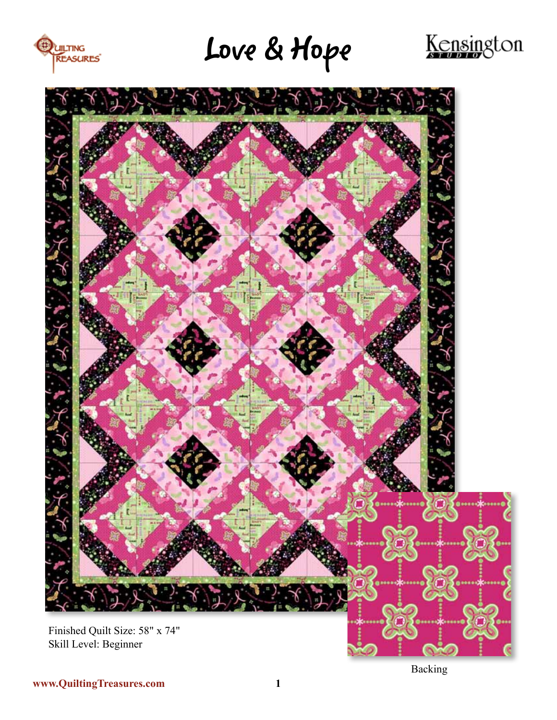

Love & Hope





**www.QuiltingTreasures.com 1**

Backing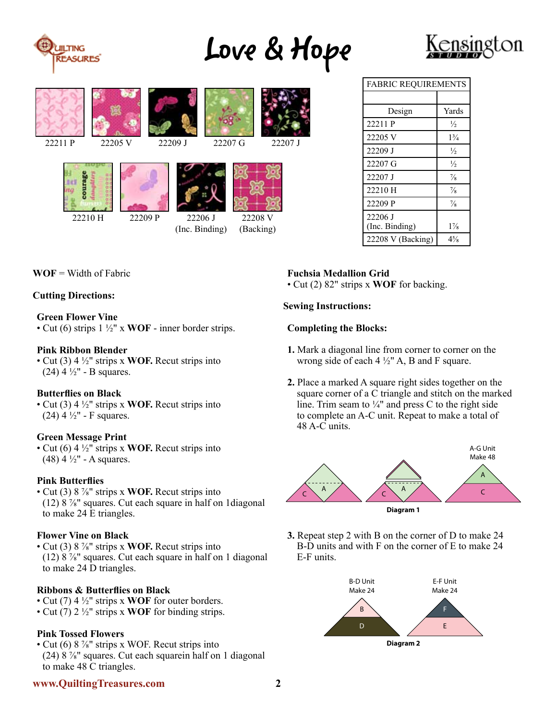

# Love & Hope





| <b>FABRIC REQUIREMENTS</b> |                |
|----------------------------|----------------|
|                            |                |
| Design                     | Yards          |
| 22211 P                    | $\frac{1}{2}$  |
| 22205 V                    | $1\frac{3}{4}$ |
| 22209 J                    | $\frac{1}{2}$  |
| 22207 G                    | $\frac{1}{2}$  |
| 22207 J                    | $\frac{7}{8}$  |
| 22210 H                    | $\frac{7}{8}$  |
| 22209 P                    | $\frac{7}{8}$  |
| 22206 J<br>(Inc. Binding)  | $1\%$          |
| 22208 V (Backing)          | $4\frac{5}{8}$ |

**WOF** = Width of Fabric

## **Cutting Directions:**

### **Green Flower Vine**

• Cut (6) strips 1 ½" x **WOF** - inner border strips.

### **Pink Ribbon Blender**

• Cut (3) 4 ½" strips x **WOF.** Recut strips into (24) 4  $\frac{1}{2}$ " - B squares.

## **Butterflies on Black**

• Cut (3) 4 ½" strips x **WOF.** Recut strips into (24) 4  $\frac{1}{2}$ " - F squares.

#### **Green Message Print**

• Cut (6) 4 ½" strips x **WOF.** Recut strips into  $(48)$  4  $\frac{1}{2}$ " - A squares.

#### **Pink Butterflies**

• Cut (3) 8 ⅞" strips x **WOF.** Recut strips into (12)  $8\frac{7}{8}$ " squares. Cut each square in half on 1diagonal to make 24 E triangles.

## **Flower Vine on Black**

• Cut (3) 8 ⅞" strips x **WOF.** Recut strips into (12)  $8\frac{7}{8}$ " squares. Cut each square in half on 1 diagonal to make 24 D triangles.

## **Ribbons & Butterflies on Black**

- Cut (7) 4 ½" strips x **WOF** for outer borders.
- Cut (7) 2 ½" strips x **WOF** for binding strips.

## **Pink Tossed Flowers**

• Cut (6)  $8\frac{7}{8}$ " strips x WOF. Recut strips into (24) 8  $\frac{7}{8}$ " squares. Cut each squarein half on 1 diagonal to make 48 C triangles.

### **www.QuiltingTreasures.com 2**

# **Fuchsia Medallion Grid**

• Cut (2) 82" strips x **WOF** for backing.

### **Sewing Instructions:**

## **Completing the Blocks:**

- **1.** Mark a diagonal line from corner to corner on the wrong side of each  $4\frac{1}{2}$ " A, B and F square.
- **2.** Place a marked A square right sides together on the square corner of a C triangle and stitch on the marked line. Trim seam to  $\frac{1}{4}$ " and press C to the right side to complete an A-C unit. Repeat to make a total of 48 A-C units.



**3.** Repeat step 2 with B on the corner of D to make 24 B-D units and with F on the corner of E to make 24 E-F units.